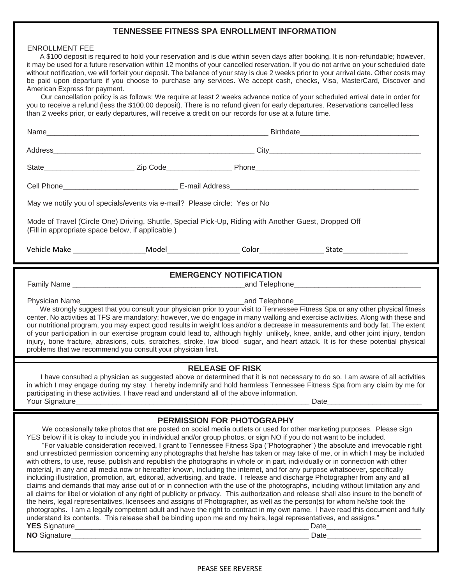### **TENNESSEE FITNESS SPA ENROLLMENT INFORMATION**

#### ENROLLMENT FEE

A \$100 deposit is required to hold your reservation and is due within seven days after booking. It is non-refundable; however, it may be used for a future reservation within 12 months of your cancelled reservation. If you do not arrive on your scheduled date without notification, we will forfeit your deposit. The balance of your stay is due 2 weeks prior to your arrival date. Other costs may be paid upon departure if you choose to purchase any services. We accept cash, checks, Visa, MasterCard, Discover and American Express for payment.

 Our cancellation policy is as follows: We require at least 2 weeks advance notice of your scheduled arrival date in order for you to receive a refund (less the \$100.00 deposit). There is no refund given for early departures. Reservations cancelled less than 2 weeks prior, or early departures, will receive a credit on our records for use at a future time.

| May we notify you of specials/events via e-mail? Please circle: Yes or No                                                                                                                                                                                                                                                                                                                                                                                                                                                                                                                                                                                                                                                                                                                                                                                                                                                                                                                                                                                                                                                                                                                                                                                                                                                                                                                                                                                                                                                                                                                   |  |  |  |
|---------------------------------------------------------------------------------------------------------------------------------------------------------------------------------------------------------------------------------------------------------------------------------------------------------------------------------------------------------------------------------------------------------------------------------------------------------------------------------------------------------------------------------------------------------------------------------------------------------------------------------------------------------------------------------------------------------------------------------------------------------------------------------------------------------------------------------------------------------------------------------------------------------------------------------------------------------------------------------------------------------------------------------------------------------------------------------------------------------------------------------------------------------------------------------------------------------------------------------------------------------------------------------------------------------------------------------------------------------------------------------------------------------------------------------------------------------------------------------------------------------------------------------------------------------------------------------------------|--|--|--|
| Mode of Travel (Circle One) Driving, Shuttle, Special Pick-Up, Riding with Another Guest, Dropped Off<br>(Fill in appropriate space below, if applicable.)                                                                                                                                                                                                                                                                                                                                                                                                                                                                                                                                                                                                                                                                                                                                                                                                                                                                                                                                                                                                                                                                                                                                                                                                                                                                                                                                                                                                                                  |  |  |  |
|                                                                                                                                                                                                                                                                                                                                                                                                                                                                                                                                                                                                                                                                                                                                                                                                                                                                                                                                                                                                                                                                                                                                                                                                                                                                                                                                                                                                                                                                                                                                                                                             |  |  |  |
| <b>EMERGENCY NOTIFICATION</b>                                                                                                                                                                                                                                                                                                                                                                                                                                                                                                                                                                                                                                                                                                                                                                                                                                                                                                                                                                                                                                                                                                                                                                                                                                                                                                                                                                                                                                                                                                                                                               |  |  |  |
|                                                                                                                                                                                                                                                                                                                                                                                                                                                                                                                                                                                                                                                                                                                                                                                                                                                                                                                                                                                                                                                                                                                                                                                                                                                                                                                                                                                                                                                                                                                                                                                             |  |  |  |
| Physician Name<br>___________and Telephone_<br>We strongly suggest that you consult your physician prior to your visit to Tennessee Fitness Spa or any other physical fitness<br>center. No activities at TFS are mandatory; however, we do engage in many walking and exercise activities. Along with these and<br>our nutritional program, you may expect good results in weight loss and/or a decrease in measurements and body fat. The extent<br>of your participation in our exercise program could lead to, although highly unlikely, knee, ankle, and other joint injury, tendon<br>injury, bone fracture, abrasions, cuts, scratches, stroke, low blood sugar, and heart attack. It is for these potential physical<br>problems that we recommend you consult your physician first.                                                                                                                                                                                                                                                                                                                                                                                                                                                                                                                                                                                                                                                                                                                                                                                                |  |  |  |
| <b>RELEASE OF RISK</b><br>I have consulted a physician as suggested above or determined that it is not necessary to do so. I am aware of all activities<br>in which I may engage during my stay. I hereby indemnify and hold harmless Tennessee Fitness Spa from any claim by me for<br>participating in these activities. I have read and understand all of the above information.<br>Your Signature                                                                                                                                                                                                                                                                                                                                                                                                                                                                                                                                                                                                                                                                                                                                                                                                                                                                                                                                                                                                                                                                                                                                                                                       |  |  |  |
| <b>PERMISSION FOR PHOTOGRAPHY</b>                                                                                                                                                                                                                                                                                                                                                                                                                                                                                                                                                                                                                                                                                                                                                                                                                                                                                                                                                                                                                                                                                                                                                                                                                                                                                                                                                                                                                                                                                                                                                           |  |  |  |
| We occasionally take photos that are posted on social media outlets or used for other marketing purposes. Please sign<br>YES below if it is okay to include you in individual and/or group photos, or sign NO if you do not want to be included.<br>"For valuable consideration received, I grant to Tennessee Fitness Spa ("Photographer") the absolute and irrevocable right<br>and unrestricted permission concerning any photographs that he/she has taken or may take of me, or in which I may be included<br>with others, to use, reuse, publish and republish the photographs in whole or in part, individually or in connection with other<br>material, in any and all media now or hereafter known, including the internet, and for any purpose whatsoever, specifically<br>including illustration, promotion, art, editorial, advertising, and trade. I release and discharge Photographer from any and all<br>claims and demands that may arise out of or in connection with the use of the photographs, including without limitation any and<br>all claims for libel or violation of any right of publicity or privacy. This authorization and release shall also insure to the benefit of<br>the heirs, legal representatives, licensees and assigns of Photographer, as well as the person(s) for whom he/she took the<br>photographs. I am a legally competent adult and have the right to contract in my own name. I have read this document and fully<br>understand its contents. This release shall be binding upon me and my heirs, legal representatives, and assigns." |  |  |  |

#### PEASE SEE REVERSE